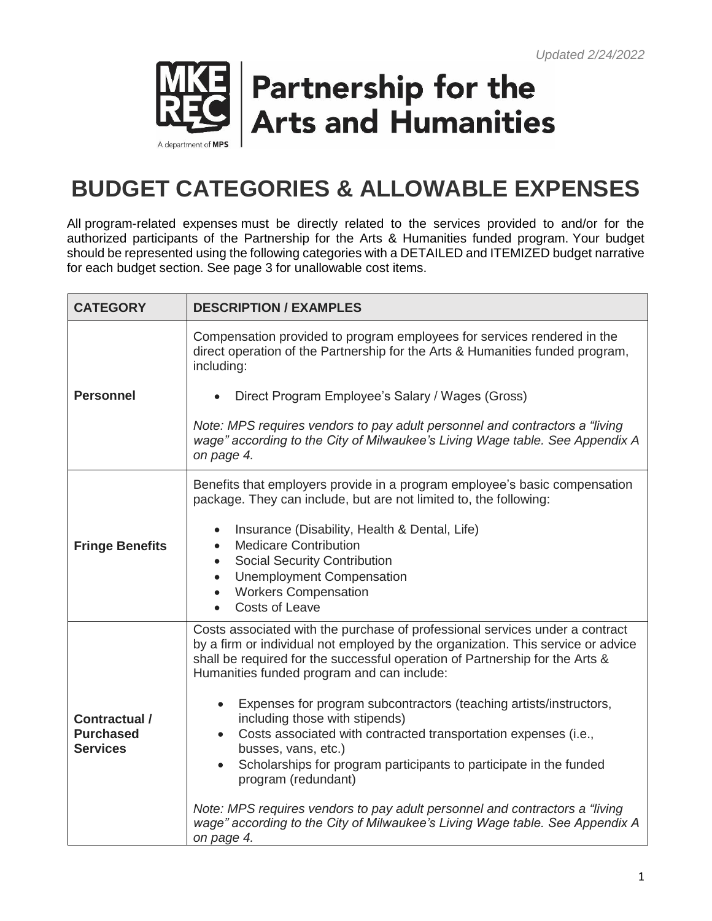

## **Partnership for the Arts and Humanities**

## **BUDGET CATEGORIES & ALLOWABLE EXPENSES**

All program-related expenses must be directly related to the services provided to and/or for the authorized participants of the Partnership for the Arts & Humanities funded program. Your budget should be represented using the following categories with a DETAILED and ITEMIZED budget narrative for each budget section. See page 3 for unallowable cost items.

| <b>CATEGORY</b>                                      | <b>DESCRIPTION / EXAMPLES</b>                                                                                                                                                                                                                                                                                                                                                                                                                                                                                                                                                                 |  |
|------------------------------------------------------|-----------------------------------------------------------------------------------------------------------------------------------------------------------------------------------------------------------------------------------------------------------------------------------------------------------------------------------------------------------------------------------------------------------------------------------------------------------------------------------------------------------------------------------------------------------------------------------------------|--|
|                                                      | Compensation provided to program employees for services rendered in the<br>direct operation of the Partnership for the Arts & Humanities funded program,<br>including:                                                                                                                                                                                                                                                                                                                                                                                                                        |  |
| <b>Personnel</b>                                     | Direct Program Employee's Salary / Wages (Gross)                                                                                                                                                                                                                                                                                                                                                                                                                                                                                                                                              |  |
|                                                      | Note: MPS requires vendors to pay adult personnel and contractors a "living"<br>wage" according to the City of Milwaukee's Living Wage table. See Appendix A<br>on page 4.                                                                                                                                                                                                                                                                                                                                                                                                                    |  |
| <b>Fringe Benefits</b>                               | Benefits that employers provide in a program employee's basic compensation<br>package. They can include, but are not limited to, the following:                                                                                                                                                                                                                                                                                                                                                                                                                                               |  |
|                                                      | Insurance (Disability, Health & Dental, Life)<br>$\bullet$<br><b>Medicare Contribution</b><br>$\bullet$<br><b>Social Security Contribution</b><br>$\bullet$<br>• Unemployment Compensation<br>• Workers Compensation<br>Costs of Leave                                                                                                                                                                                                                                                                                                                                                        |  |
| Contractual /<br><b>Purchased</b><br><b>Services</b> | Costs associated with the purchase of professional services under a contract<br>by a firm or individual not employed by the organization. This service or advice<br>shall be required for the successful operation of Partnership for the Arts &<br>Humanities funded program and can include:<br>Expenses for program subcontractors (teaching artists/instructors,<br>including those with stipends)<br>Costs associated with contracted transportation expenses (i.e.,<br>busses, vans, etc.)<br>Scholarships for program participants to participate in the funded<br>program (redundant) |  |
|                                                      | Note: MPS requires vendors to pay adult personnel and contractors a "living"<br>wage" according to the City of Milwaukee's Living Wage table. See Appendix A<br>on page 4.                                                                                                                                                                                                                                                                                                                                                                                                                    |  |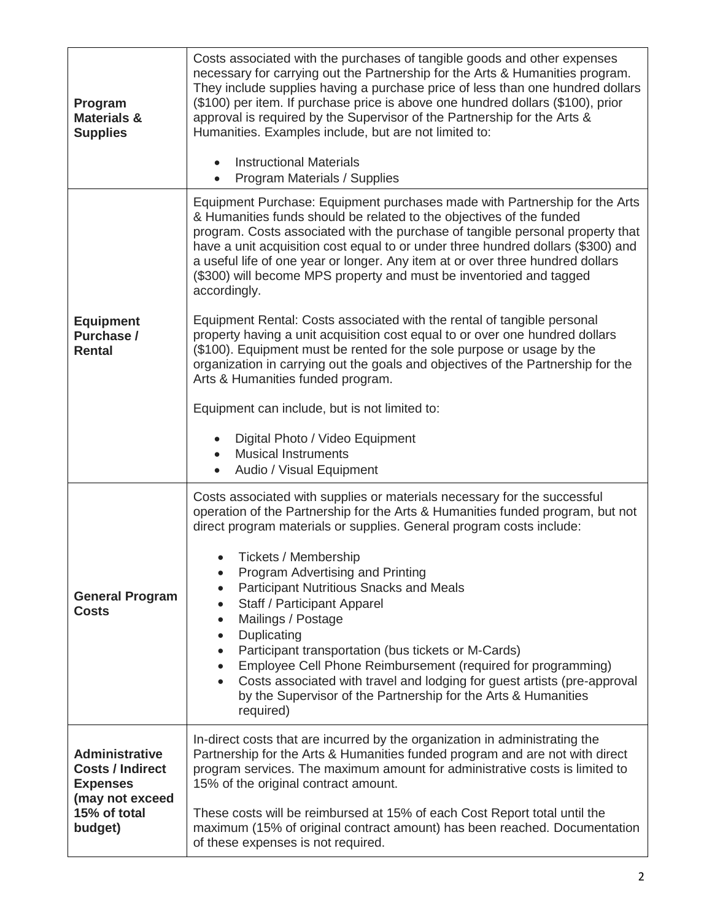| Program<br><b>Materials &amp;</b><br><b>Supplies</b>                                                              | Costs associated with the purchases of tangible goods and other expenses<br>necessary for carrying out the Partnership for the Arts & Humanities program.<br>They include supplies having a purchase price of less than one hundred dollars<br>(\$100) per item. If purchase price is above one hundred dollars (\$100), prior<br>approval is required by the Supervisor of the Partnership for the Arts &<br>Humanities. Examples include, but are not limited to:<br><b>Instructional Materials</b><br>$\bullet$<br>Program Materials / Supplies                                                                                                                                                                                                                                                                                                                                                               |  |
|-------------------------------------------------------------------------------------------------------------------|------------------------------------------------------------------------------------------------------------------------------------------------------------------------------------------------------------------------------------------------------------------------------------------------------------------------------------------------------------------------------------------------------------------------------------------------------------------------------------------------------------------------------------------------------------------------------------------------------------------------------------------------------------------------------------------------------------------------------------------------------------------------------------------------------------------------------------------------------------------------------------------------------------------|--|
| <b>Equipment</b><br>Purchase /<br><b>Rental</b>                                                                   | Equipment Purchase: Equipment purchases made with Partnership for the Arts<br>& Humanities funds should be related to the objectives of the funded<br>program. Costs associated with the purchase of tangible personal property that<br>have a unit acquisition cost equal to or under three hundred dollars (\$300) and<br>a useful life of one year or longer. Any item at or over three hundred dollars<br>(\$300) will become MPS property and must be inventoried and tagged<br>accordingly.<br>Equipment Rental: Costs associated with the rental of tangible personal<br>property having a unit acquisition cost equal to or over one hundred dollars<br>(\$100). Equipment must be rented for the sole purpose or usage by the<br>organization in carrying out the goals and objectives of the Partnership for the<br>Arts & Humanities funded program.<br>Equipment can include, but is not limited to: |  |
|                                                                                                                   | Digital Photo / Video Equipment<br><b>Musical Instruments</b><br>$\bullet$<br>Audio / Visual Equipment<br>$\bullet$                                                                                                                                                                                                                                                                                                                                                                                                                                                                                                                                                                                                                                                                                                                                                                                              |  |
| <b>General Program</b><br><b>Costs</b>                                                                            | Costs associated with supplies or materials necessary for the successful<br>operation of the Partnership for the Arts & Humanities funded program, but not<br>direct program materials or supplies. General program costs include:<br>Tickets / Membership<br>Program Advertising and Printing<br>$\bullet$<br>Participant Nutritious Snacks and Meals<br>Staff / Participant Apparel<br>$\bullet$<br>Mailings / Postage<br>$\bullet$<br>Duplicating<br>$\bullet$<br>Participant transportation (bus tickets or M-Cards)<br>Employee Cell Phone Reimbursement (required for programming)<br>Costs associated with travel and lodging for guest artists (pre-approval<br>$\bullet$<br>by the Supervisor of the Partnership for the Arts & Humanities<br>required)                                                                                                                                                 |  |
| <b>Administrative</b><br><b>Costs / Indirect</b><br><b>Expenses</b><br>(may not exceed<br>15% of total<br>budget) | In-direct costs that are incurred by the organization in administrating the<br>Partnership for the Arts & Humanities funded program and are not with direct<br>program services. The maximum amount for administrative costs is limited to<br>15% of the original contract amount.<br>These costs will be reimbursed at 15% of each Cost Report total until the<br>maximum (15% of original contract amount) has been reached. Documentation<br>of these expenses is not required.                                                                                                                                                                                                                                                                                                                                                                                                                               |  |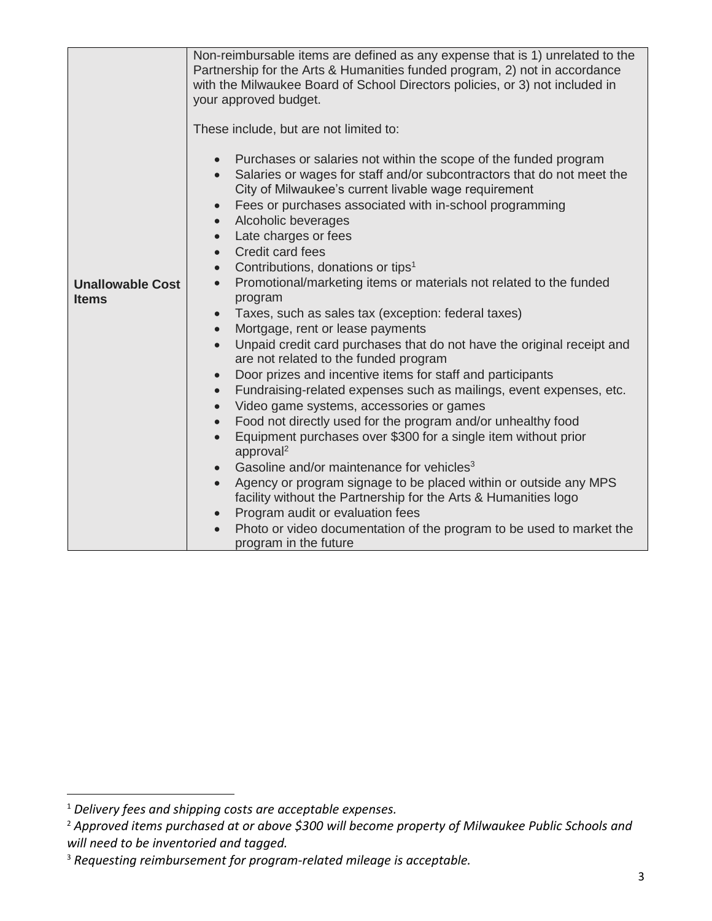|                                         | Non-reimbursable items are defined as any expense that is 1) unrelated to the<br>Partnership for the Arts & Humanities funded program, 2) not in accordance<br>with the Milwaukee Board of School Directors policies, or 3) not included in<br>your approved budget.                                                                                                                                                                                                                                                                                                                                                                                                                                                                                                                                                                                                                                                                                                                                                                                                                                                                                                                                                                                                                                                                                                                                                                                                                                                                                                                                                                     |
|-----------------------------------------|------------------------------------------------------------------------------------------------------------------------------------------------------------------------------------------------------------------------------------------------------------------------------------------------------------------------------------------------------------------------------------------------------------------------------------------------------------------------------------------------------------------------------------------------------------------------------------------------------------------------------------------------------------------------------------------------------------------------------------------------------------------------------------------------------------------------------------------------------------------------------------------------------------------------------------------------------------------------------------------------------------------------------------------------------------------------------------------------------------------------------------------------------------------------------------------------------------------------------------------------------------------------------------------------------------------------------------------------------------------------------------------------------------------------------------------------------------------------------------------------------------------------------------------------------------------------------------------------------------------------------------------|
| <b>Unallowable Cost</b><br><b>Items</b> | These include, but are not limited to:<br>Purchases or salaries not within the scope of the funded program<br>$\bullet$<br>Salaries or wages for staff and/or subcontractors that do not meet the<br>City of Milwaukee's current livable wage requirement<br>Fees or purchases associated with in-school programming<br>$\bullet$<br>Alcoholic beverages<br>$\bullet$<br>Late charges or fees<br>$\bullet$<br>Credit card fees<br>$\bullet$<br>Contributions, donations or tips <sup>1</sup><br>$\bullet$<br>Promotional/marketing items or materials not related to the funded<br>$\bullet$<br>program<br>Taxes, such as sales tax (exception: federal taxes)<br>$\bullet$<br>Mortgage, rent or lease payments<br>$\bullet$<br>Unpaid credit card purchases that do not have the original receipt and<br>$\bullet$<br>are not related to the funded program<br>Door prizes and incentive items for staff and participants<br>$\bullet$<br>Fundraising-related expenses such as mailings, event expenses, etc.<br>$\bullet$<br>Video game systems, accessories or games<br>$\bullet$<br>Food not directly used for the program and/or unhealthy food<br>$\bullet$<br>Equipment purchases over \$300 for a single item without prior<br>approval <sup>2</sup><br>Gasoline and/or maintenance for vehicles <sup>3</sup><br>$\bullet$<br>Agency or program signage to be placed within or outside any MPS<br>facility without the Partnership for the Arts & Humanities logo<br>Program audit or evaluation fees<br>$\bullet$<br>Photo or video documentation of the program to be used to market the<br>$\bullet$<br>program in the future |

 $\overline{a}$ 

<sup>1</sup> *Delivery fees and shipping costs are acceptable expenses.* 

<sup>2</sup> *Approved items purchased at or above \$300 will become property of Milwaukee Public Schools and will need to be inventoried and tagged.*

<sup>3</sup> *Requesting reimbursement for program-related mileage is acceptable.*